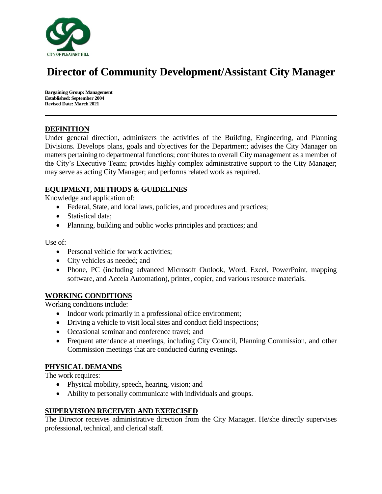

# **Director of Community Development/Assistant City Manager**

**Bargaining Group: Management Established: September 2004 Revised Date: March 2021**

## **DEFINITION**

Under general direction, administers the activities of the Building, Engineering, and Planning Divisions. Develops plans, goals and objectives for the Department; advises the City Manager on matters pertaining to departmental functions; contributes to overall City management as a member of the City's Executive Team; provides highly complex administrative support to the City Manager; may serve as acting City Manager; and performs related work as required.

## **EQUIPMENT, METHODS & GUIDELINES**

Knowledge and application of:

- Federal, State, and local laws, policies, and procedures and practices;
- Statistical data;
- Planning, building and public works principles and practices; and

Use of:

- Personal vehicle for work activities:
- City vehicles as needed; and
- Phone, PC (including advanced Microsoft Outlook, Word, Excel, PowerPoint, mapping software, and Accela Automation), printer, copier, and various resource materials.

### **WORKING CONDITIONS**

Working conditions include:

- Indoor work primarily in a professional office environment;
- Driving a vehicle to visit local sites and conduct field inspections;
- Occasional seminar and conference travel; and
- Frequent attendance at meetings, including City Council, Planning Commission, and other Commission meetings that are conducted during evenings.

### **PHYSICAL DEMANDS**

The work requires:

- Physical mobility, speech, hearing, vision; and
- Ability to personally communicate with individuals and groups.

### **SUPERVISION RECEIVED AND EXERCISED**

The Director receives administrative direction from the City Manager. He/she directly supervises professional, technical, and clerical staff.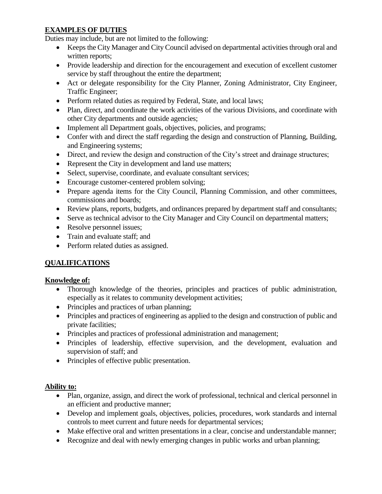# **EXAMPLES OF DUTIES**

Duties may include, but are not limited to the following:

- Keeps the City Manager and City Council advised on departmental activities through oral and written reports;
- Provide leadership and direction for the encouragement and execution of excellent customer service by staff throughout the entire the department;
- Act or delegate responsibility for the City Planner, Zoning Administrator, City Engineer, Traffic Engineer;
- Perform related duties as required by Federal, State, and local laws;
- Plan, direct, and coordinate the work activities of the various Divisions, and coordinate with other City departments and outside agencies;
- Implement all Department goals, objectives, policies, and programs;
- Confer with and direct the staff regarding the design and construction of Planning, Building, and Engineering systems;
- Direct, and review the design and construction of the City's street and drainage structures;
- Represent the City in development and land use matters;
- Select, supervise, coordinate, and evaluate consultant services:
- Encourage customer-centered problem solving;
- Prepare agenda items for the City Council, Planning Commission, and other committees, commissions and boards;
- Review plans, reports, budgets, and ordinances prepared by department staff and consultants;
- Serve as technical advisor to the City Manager and City Council on departmental matters;
- Resolve personnel issues;
- Train and evaluate staff; and
- Perform related duties as assigned.

# **QUALIFICATIONS**

# **Knowledge of:**

- Thorough knowledge of the theories, principles and practices of public administration, especially as it relates to community development activities;
- Principles and practices of urban planning;
- Principles and practices of engineering as applied to the design and construction of public and private facilities;
- Principles and practices of professional administration and management;
- Principles of leadership, effective supervision, and the development, evaluation and supervision of staff; and
- Principles of effective public presentation.

# **Ability to:**

- Plan, organize, assign, and direct the work of professional, technical and clerical personnel in an efficient and productive manner;
- Develop and implement goals, objectives, policies, procedures, work standards and internal controls to meet current and future needs for departmental services;
- Make effective oral and written presentations in a clear, concise and understandable manner;
- Recognize and deal with newly emerging changes in public works and urban planning;